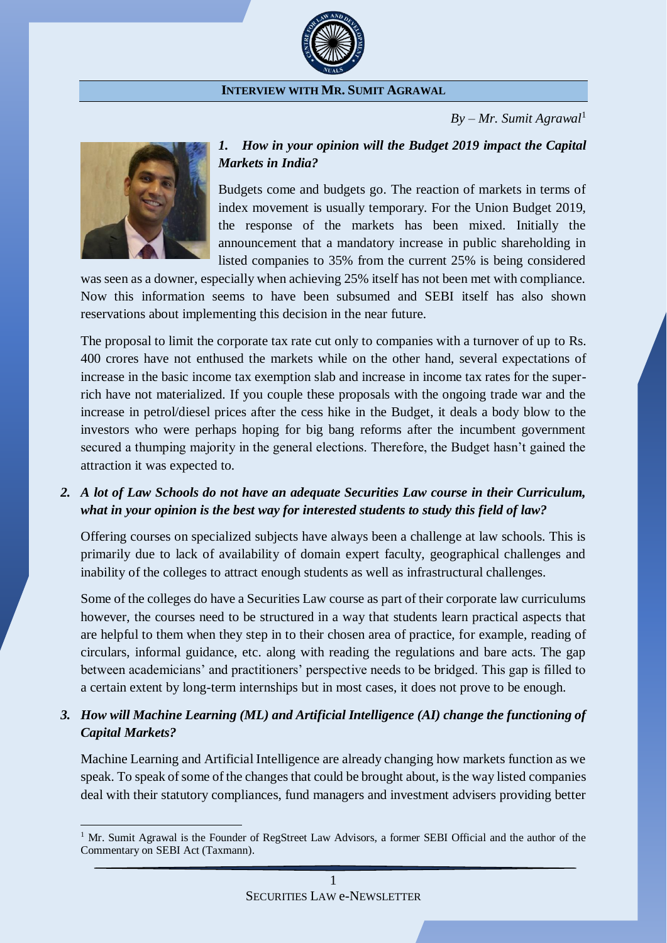

#### **INTERVIEW WITH MR. SUMIT AGRAWAL**

 $By - Mr. Sumit A$ *grawal*<sup>1</sup>



 $\overline{a}$ 

#### *1. How in your opinion will the Budget 2019 impact the Capital Markets in India?*

Budgets come and budgets go. The reaction of markets in terms of index movement is usually temporary. For the Union Budget 2019, the response of the markets has been mixed. Initially the announcement that a mandatory increase in public shareholding in listed companies to 35% from the current 25% is being considered

was seen as a downer, especially when achieving 25% itself has not been met with compliance. Now this information seems to have been subsumed and SEBI itself has also shown reservations about implementing this decision in the near future.

The proposal to limit the corporate tax rate cut only to companies with a turnover of up to Rs. 400 crores have not enthused the markets while on the other hand, several expectations of increase in the basic income tax exemption slab and increase in income tax rates for the superrich have not materialized. If you couple these proposals with the ongoing trade war and the increase in petrol/diesel prices after the cess hike in the Budget, it deals a body blow to the investors who were perhaps hoping for big bang reforms after the incumbent government secured a thumping majority in the general elections. Therefore, the Budget hasn't gained the attraction it was expected to.

#### *2. A lot of Law Schools do not have an adequate Securities Law course in their Curriculum, what in your opinion is the best way for interested students to study this field of law?*

Offering courses on specialized subjects have always been a challenge at law schools. This is primarily due to lack of availability of domain expert faculty, geographical challenges and inability of the colleges to attract enough students as well as infrastructural challenges.

Some of the colleges do have a Securities Law course as part of their corporate law curriculums however, the courses need to be structured in a way that students learn practical aspects that are helpful to them when they step in to their chosen area of practice, for example, reading of circulars, informal guidance, etc. along with reading the regulations and bare acts. The gap between academicians' and practitioners' perspective needs to be bridged. This gap is filled to a certain extent by long-term internships but in most cases, it does not prove to be enough.

#### *3. How will Machine Learning (ML) and Artificial Intelligence (AI) change the functioning of Capital Markets?*

Machine Learning and Artificial Intelligence are already changing how markets function as we speak. To speak of some of the changes that could be brought about, is the way listed companies deal with their statutory compliances, fund managers and investment advisers providing better

<sup>&</sup>lt;sup>1</sup> Mr. Sumit Agrawal is the Founder of RegStreet Law Advisors, a former SEBI Official and the author of the Commentary on SEBI Act (Taxmann).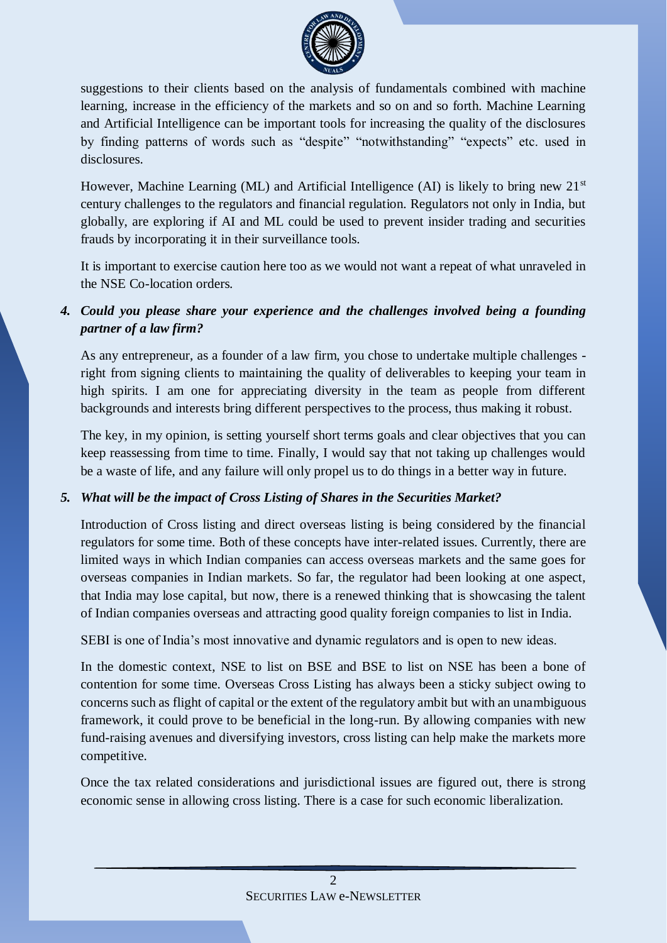

suggestions to their clients based on the analysis of fundamentals combined with machine learning, increase in the efficiency of the markets and so on and so forth. Machine Learning and Artificial Intelligence can be important tools for increasing the quality of the disclosures by finding patterns of words such as "despite" "notwithstanding" "expects" etc. used in disclosures.

However, Machine Learning (ML) and Artificial Intelligence (AI) is likely to bring new  $21<sup>st</sup>$ century challenges to the regulators and financial regulation. Regulators not only in India, but globally, are exploring if AI and ML could be used to prevent insider trading and securities frauds by incorporating it in their surveillance tools.

It is important to exercise caution here too as we would not want a repeat of what unraveled in the NSE Co-location orders.

### *4. Could you please share your experience and the challenges involved being a founding partner of a law firm?*

As any entrepreneur, as a founder of a law firm, you chose to undertake multiple challenges right from signing clients to maintaining the quality of deliverables to keeping your team in high spirits. I am one for appreciating diversity in the team as people from different backgrounds and interests bring different perspectives to the process, thus making it robust.

The key, in my opinion, is setting yourself short terms goals and clear objectives that you can keep reassessing from time to time. Finally, I would say that not taking up challenges would be a waste of life, and any failure will only propel us to do things in a better way in future.

#### *5. What will be the impact of Cross Listing of Shares in the Securities Market?*

Introduction of Cross listing and direct overseas listing is being considered by the financial regulators for some time. Both of these concepts have inter-related issues. Currently, there are limited ways in which Indian companies can access overseas markets and the same goes for overseas companies in Indian markets. So far, the regulator had been looking at one aspect, that India may lose capital, but now, there is a renewed thinking that is showcasing the talent of Indian companies overseas and attracting good quality foreign companies to list in India.

SEBI is one of India's most innovative and dynamic regulators and is open to new ideas.

In the domestic context, NSE to list on BSE and BSE to list on NSE has been a bone of contention for some time. Overseas Cross Listing has always been a sticky subject owing to concerns such as flight of capital or the extent of the regulatory ambit but with an unambiguous framework, it could prove to be beneficial in the long-run. By allowing companies with new fund-raising avenues and diversifying investors, cross listing can help make the markets more competitive.

Once the tax related considerations and jurisdictional issues are figured out, there is strong economic sense in allowing cross listing. There is a case for such economic liberalization.